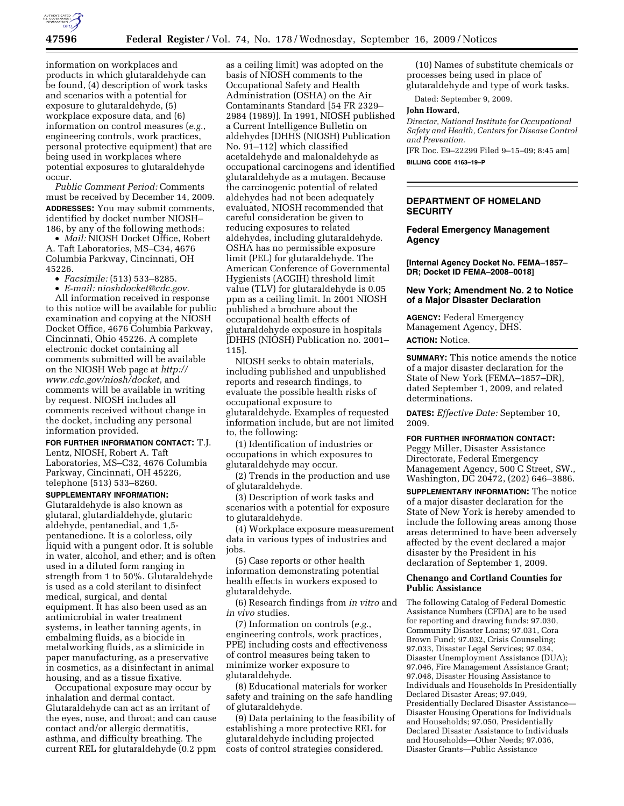

information on workplaces and products in which glutaraldehyde can be found, (4) description of work tasks and scenarios with a potential for exposure to glutaraldehyde, (5) workplace exposure data, and (6) information on control measures (*e.g.*, engineering controls, work practices, personal protective equipment) that are being used in workplaces where potential exposures to glutaraldehyde occur.

*Public Comment Period:* Comments must be received by December 14, 2009. **ADDRESSES:** You may submit comments, identified by docket number NIOSH– 186, by any of the following methods:

• *Mail:* NIOSH Docket Office, Robert A. Taft Laboratories, MS–C34, 4676 Columbia Parkway, Cincinnati, OH 45226.

• *Facsimile:* (513) 533–8285.

• *E-mail: nioshdocket@cdc.gov*. All information received in response to this notice will be available for public examination and copying at the NIOSH Docket Office, 4676 Columbia Parkway, Cincinnati, Ohio 45226. A complete electronic docket containing all comments submitted will be available on the NIOSH Web page at *http:// www.cdc.gov/niosh/docket*, and comments will be available in writing by request. NIOSH includes all comments received without change in the docket, including any personal information provided.

#### **FOR FURTHER INFORMATION CONTACT:** T.J.

Lentz, NIOSH, Robert A. Taft Laboratories, MS–C32, 4676 Columbia Parkway, Cincinnati, OH 45226, telephone (513) 533–8260.

## **SUPPLEMENTARY INFORMATION:**

Glutaraldehyde is also known as glutaral, glutardialdehyde, glutaric aldehyde, pentanedial, and 1,5 pentanedione. It is a colorless, oily liquid with a pungent odor. It is soluble in water, alcohol, and ether; and is often used in a diluted form ranging in strength from 1 to 50%. Glutaraldehyde is used as a cold sterilant to disinfect medical, surgical, and dental equipment. It has also been used as an antimicrobial in water treatment systems, in leather tanning agents, in embalming fluids, as a biocide in metalworking fluids, as a slimicide in paper manufacturing, as a preservative in cosmetics, as a disinfectant in animal housing, and as a tissue fixative.

Occupational exposure may occur by inhalation and dermal contact. Glutaraldehyde can act as an irritant of the eyes, nose, and throat; and can cause contact and/or allergic dermatitis, asthma, and difficulty breathing. The current REL for glutaraldehyde (0.2 ppm

as a ceiling limit) was adopted on the basis of NIOSH comments to the Occupational Safety and Health Administration (OSHA) on the Air Contaminants Standard [54 FR 2329– 2984 (1989)]. In 1991, NIOSH published a Current Intelligence Bulletin on aldehydes [DHHS (NIOSH) Publication No. 91–112] which classified acetaldehyde and malonaldehyde as occupational carcinogens and identified glutaraldehyde as a mutagen. Because the carcinogenic potential of related aldehydes had not been adequately evaluated, NIOSH recommended that careful consideration be given to reducing exposures to related aldehydes, including glutaraldehyde. OSHA has no permissible exposure limit (PEL) for glutaraldehyde. The American Conference of Governmental Hygienists (ACGIH) threshold limit value (TLV) for glutaraldehyde is 0.05 ppm as a ceiling limit. In 2001 NIOSH published a brochure about the occupational health effects of glutaraldehyde exposure in hospitals [DHHS (NIOSH) Publication no. 2001– 115].

NIOSH seeks to obtain materials, including published and unpublished reports and research findings, to evaluate the possible health risks of occupational exposure to glutaraldehyde. Examples of requested information include, but are not limited to, the following:

(1) Identification of industries or occupations in which exposures to glutaraldehyde may occur.

(2) Trends in the production and use of glutaraldehyde.

(3) Description of work tasks and scenarios with a potential for exposure to glutaraldehyde.

(4) Workplace exposure measurement data in various types of industries and jobs.

(5) Case reports or other health information demonstrating potential health effects in workers exposed to glutaraldehyde.

(6) Research findings from *in vitro* and *in vivo* studies.

(7) Information on controls (*e.g.*, engineering controls, work practices, PPE) including costs and effectiveness of control measures being taken to minimize worker exposure to glutaraldehyde.

(8) Educational materials for worker safety and training on the safe handling of glutaraldehyde.

(9) Data pertaining to the feasibility of establishing a more protective REL for glutaraldehyde including projected costs of control strategies considered.

(10) Names of substitute chemicals or processes being used in place of glutaraldehyde and type of work tasks.

Dated: September 9, 2009.

#### **John Howard,**

*Director, National Institute for Occupational Safety and Health, Centers for Disease Control and Prevention.* 

[FR Doc. E9–22299 Filed 9–15–09; 8:45 am] **BILLING CODE 4163–19–P** 

# **DEPARTMENT OF HOMELAND SECURITY**

## **Federal Emergency Management Agency**

**[Internal Agency Docket No. FEMA–1857– DR; Docket ID FEMA–2008–0018]** 

#### **New York; Amendment No. 2 to Notice of a Major Disaster Declaration**

**AGENCY:** Federal Emergency Management Agency, DHS. **ACTION:** Notice.

**SUMMARY:** This notice amends the notice of a major disaster declaration for the State of New York (FEMA–1857–DR), dated September 1, 2009, and related determinations.

**DATES:** *Effective Date:* September 10, 2009.

**FOR FURTHER INFORMATION CONTACT:**  Peggy Miller, Disaster Assistance Directorate, Federal Emergency

Management Agency, 500 C Street, SW., Washington, DC 20472, (202) 646–3886.

**SUPPLEMENTARY INFORMATION:** The notice of a major disaster declaration for the State of New York is hereby amended to include the following areas among those areas determined to have been adversely affected by the event declared a major disaster by the President in his declaration of September 1, 2009.

# **Chenango and Cortland Counties for Public Assistance**

The following Catalog of Federal Domestic Assistance Numbers (CFDA) are to be used for reporting and drawing funds: 97.030, Community Disaster Loans; 97.031, Cora Brown Fund; 97.032, Crisis Counseling; 97.033, Disaster Legal Services; 97.034, Disaster Unemployment Assistance (DUA); 97.046, Fire Management Assistance Grant; 97.048, Disaster Housing Assistance to Individuals and Households In Presidentially Declared Disaster Areas; 97.049, Presidentially Declared Disaster Assistance— Disaster Housing Operations for Individuals and Households; 97.050, Presidentially Declared Disaster Assistance to Individuals and Households—Other Needs; 97.036, Disaster Grants—Public Assistance